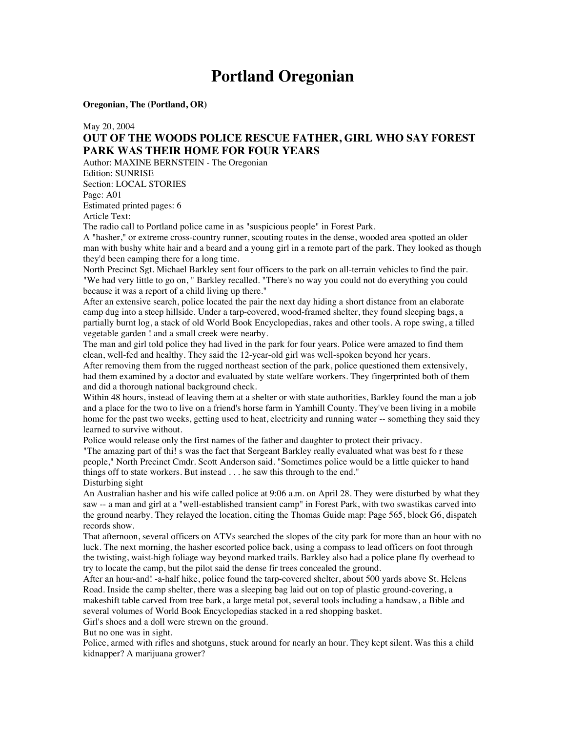# **Portland Oregonian**

**Oregonian, The (Portland, OR)**

May 20, 2004

### **OUT OF THE WOODS POLICE RESCUE FATHER, GIRL WHO SAY FOREST PARK WAS THEIR HOME FOR FOUR YEARS**

Author: MAXINE BERNSTEIN - The Oregonian Edition: SUNRISE Section: LOCAL STORIES Page: A01 Estimated printed pages: 6

Article Text:

The radio call to Portland police came in as "suspicious people" in Forest Park.

A "hasher," or extreme cross-country runner, scouting routes in the dense, wooded area spotted an older man with bushy white hair and a beard and a young girl in a remote part of the park. They looked as though they'd been camping there for a long time.

North Precinct Sgt. Michael Barkley sent four officers to the park on all-terrain vehicles to find the pair. "We had very little to go on, " Barkley recalled. "There's no way you could not do everything you could because it was a report of a child living up there."

After an extensive search, police located the pair the next day hiding a short distance from an elaborate camp dug into a steep hillside. Under a tarp-covered, wood-framed shelter, they found sleeping bags, a partially burnt log, a stack of old World Book Encyclopedias, rakes and other tools. A rope swing, a tilled vegetable garden ! and a small creek were nearby.

The man and girl told police they had lived in the park for four years. Police were amazed to find them clean, well-fed and healthy. They said the 12-year-old girl was well-spoken beyond her years.

After removing them from the rugged northeast section of the park, police questioned them extensively, had them examined by a doctor and evaluated by state welfare workers. They fingerprinted both of them and did a thorough national background check.

Within 48 hours, instead of leaving them at a shelter or with state authorities, Barkley found the man a job and a place for the two to live on a friend's horse farm in Yamhill County. They've been living in a mobile home for the past two weeks, getting used to heat, electricity and running water -- something they said they learned to survive without.

Police would release only the first names of the father and daughter to protect their privacy. "The amazing part of thi! s was the fact that Sergeant Barkley really evaluated what was best fo r these people," North Precinct Cmdr. Scott Anderson said. "Sometimes police would be a little quicker to hand things off to state workers. But instead . . . he saw this through to the end." Disturbing sight

An Australian hasher and his wife called police at 9:06 a.m. on April 28. They were disturbed by what they saw -- a man and girl at a "well-established transient camp" in Forest Park, with two swastikas carved into the ground nearby. They relayed the location, citing the Thomas Guide map: Page 565, block G6, dispatch records show.

That afternoon, several officers on ATVs searched the slopes of the city park for more than an hour with no luck. The next morning, the hasher escorted police back, using a compass to lead officers on foot through the twisting, waist-high foliage way beyond marked trails. Barkley also had a police plane fly overhead to try to locate the camp, but the pilot said the dense fir trees concealed the ground.

After an hour-and! -a-half hike, police found the tarp-covered shelter, about 500 yards above St. Helens Road. Inside the camp shelter, there was a sleeping bag laid out on top of plastic ground-covering, a makeshift table carved from tree bark, a large metal pot, several tools including a handsaw, a Bible and several volumes of World Book Encyclopedias stacked in a red shopping basket.

Girl's shoes and a doll were strewn on the ground.

But no one was in sight.

Police, armed with rifles and shotguns, stuck around for nearly an hour. They kept silent. Was this a child kidnapper? A marijuana grower?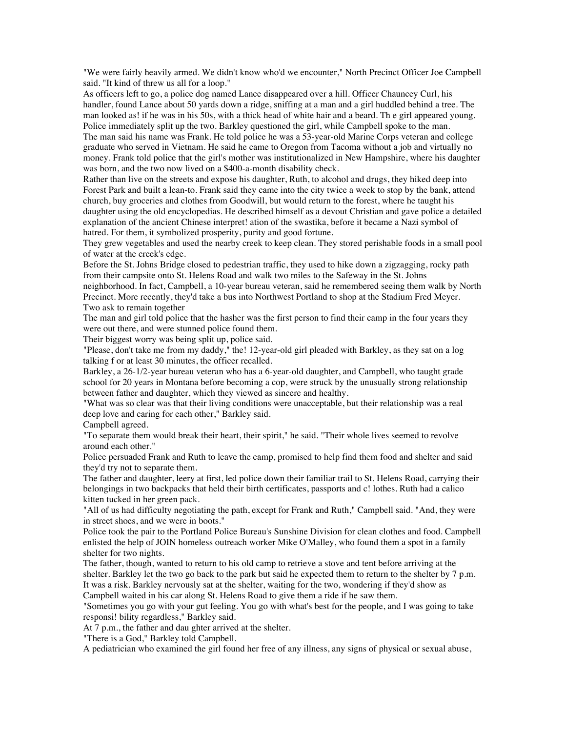"We were fairly heavily armed. We didn't know who'd we encounter," North Precinct Officer Joe Campbell said. "It kind of threw us all for a loop."

As officers left to go, a police dog named Lance disappeared over a hill. Officer Chauncey Curl, his handler, found Lance about 50 yards down a ridge, sniffing at a man and a girl huddled behind a tree. The man looked as! if he was in his 50s, with a thick head of white hair and a beard. Th e girl appeared young. Police immediately split up the two. Barkley questioned the girl, while Campbell spoke to the man. The man said his name was Frank. He told police he was a 53-year-old Marine Corps veteran and college graduate who served in Vietnam. He said he came to Oregon from Tacoma without a job and virtually no money. Frank told police that the girl's mother was institutionalized in New Hampshire, where his daughter was born, and the two now lived on a \$400-a-month disability check.

Rather than live on the streets and expose his daughter, Ruth, to alcohol and drugs, they hiked deep into Forest Park and built a lean-to. Frank said they came into the city twice a week to stop by the bank, attend church, buy groceries and clothes from Goodwill, but would return to the forest, where he taught his daughter using the old encyclopedias. He described himself as a devout Christian and gave police a detailed explanation of the ancient Chinese interpret! ation of the swastika, before it became a Nazi symbol of hatred. For them, it symbolized prosperity, purity and good fortune.

They grew vegetables and used the nearby creek to keep clean. They stored perishable foods in a small pool of water at the creek's edge.

Before the St. Johns Bridge closed to pedestrian traffic, they used to hike down a zigzagging, rocky path from their campsite onto St. Helens Road and walk two miles to the Safeway in the St. Johns neighborhood. In fact, Campbell, a 10-year bureau veteran, said he remembered seeing them walk by North Precinct. More recently, they'd take a bus into Northwest Portland to shop at the Stadium Fred Meyer.

Two ask to remain together

The man and girl told police that the hasher was the first person to find their camp in the four years they were out there, and were stunned police found them.

Their biggest worry was being split up, police said.

"Please, don't take me from my daddy," the! 12-year-old girl pleaded with Barkley, as they sat on a log talking f or at least 30 minutes, the officer recalled.

Barkley, a 26-1/2-year bureau veteran who has a 6-year-old daughter, and Campbell, who taught grade school for 20 years in Montana before becoming a cop, were struck by the unusually strong relationship between father and daughter, which they viewed as sincere and healthy.

"What was so clear was that their living conditions were unacceptable, but their relationship was a real deep love and caring for each other," Barkley said.

Campbell agreed.

"To separate them would break their heart, their spirit," he said. "Their whole lives seemed to revolve around each other."

Police persuaded Frank and Ruth to leave the camp, promised to help find them food and shelter and said they'd try not to separate them.

The father and daughter, leery at first, led police down their familiar trail to St. Helens Road, carrying their belongings in two backpacks that held their birth certificates, passports and c! lothes. Ruth had a calico kitten tucked in her green pack.

"All of us had difficulty negotiating the path, except for Frank and Ruth," Campbell said. "And, they were in street shoes, and we were in boots."

Police took the pair to the Portland Police Bureau's Sunshine Division for clean clothes and food. Campbell enlisted the help of JOIN homeless outreach worker Mike O'Malley, who found them a spot in a family shelter for two nights.

The father, though, wanted to return to his old camp to retrieve a stove and tent before arriving at the shelter. Barkley let the two go back to the park but said he expected them to return to the shelter by 7 p.m. It was a risk. Barkley nervously sat at the shelter, waiting for the two, wondering if they'd show as Campbell waited in his car along St. Helens Road to give them a ride if he saw them.

"Sometimes you go with your gut feeling. You go with what's best for the people, and I was going to take responsi! bility regardless," Barkley said.

At 7 p.m., the father and dau ghter arrived at the shelter.

"There is a God," Barkley told Campbell.

A pediatrician who examined the girl found her free of any illness, any signs of physical or sexual abuse,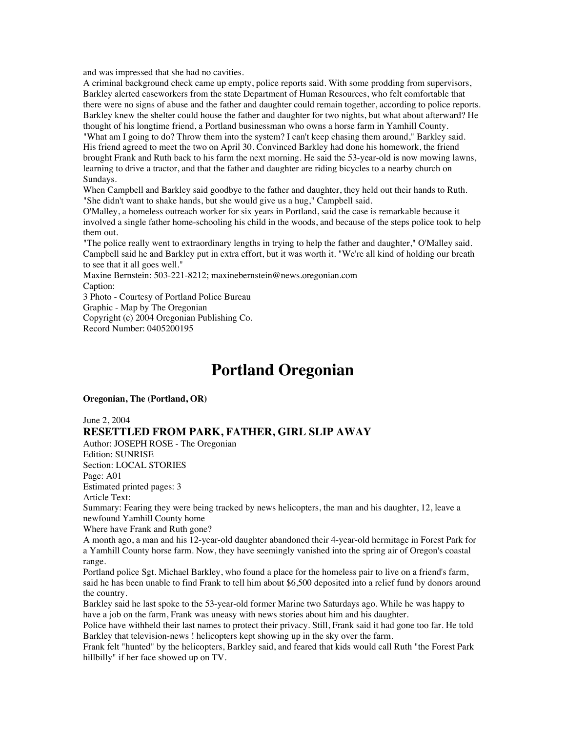and was impressed that she had no cavities.

A criminal background check came up empty, police reports said. With some prodding from supervisors, Barkley alerted caseworkers from the state Department of Human Resources, who felt comfortable that there were no signs of abuse and the father and daughter could remain together, according to police reports. Barkley knew the shelter could house the father and daughter for two nights, but what about afterward? He thought of his longtime friend, a Portland businessman who owns a horse farm in Yamhill County.

"What am I going to do? Throw them into the system? I can't keep chasing them around," Barkley said. His friend agreed to meet the two on April 30. Convinced Barkley had done his homework, the friend brought Frank and Ruth back to his farm the next morning. He said the 53-year-old is now mowing lawns, learning to drive a tractor, and that the father and daughter are riding bicycles to a nearby church on Sundays.

When Campbell and Barkley said goodbye to the father and daughter, they held out their hands to Ruth. "She didn't want to shake hands, but she would give us a hug," Campbell said.

O'Malley, a homeless outreach worker for six years in Portland, said the case is remarkable because it involved a single father home-schooling his child in the woods, and because of the steps police took to help them out.

"The police really went to extraordinary lengths in trying to help the father and daughter," O'Malley said. Campbell said he and Barkley put in extra effort, but it was worth it. "We're all kind of holding our breath to see that it all goes well."

Maxine Bernstein: 503-221-8212; maxinebernstein@news.oregonian.com Caption: 3 Photo - Courtesy of Portland Police Bureau

Graphic - Map by The Oregonian

Copyright (c) 2004 Oregonian Publishing Co.

Record Number: 0405200195

## **Portland Oregonian**

#### **Oregonian, The (Portland, OR)**

#### June 2, 2004

### **RESETTLED FROM PARK, FATHER, GIRL SLIP AWAY**

Author: JOSEPH ROSE - The Oregonian

Edition: SUNRISE Section: LOCAL STORIES

Page: A01

Estimated printed pages: 3

Article Text:

Summary: Fearing they were being tracked by news helicopters, the man and his daughter, 12, leave a newfound Yamhill County home

Where have Frank and Ruth gone?

A month ago, a man and his 12-year-old daughter abandoned their 4-year-old hermitage in Forest Park for a Yamhill County horse farm. Now, they have seemingly vanished into the spring air of Oregon's coastal range.

Portland police Sgt. Michael Barkley, who found a place for the homeless pair to live on a friend's farm, said he has been unable to find Frank to tell him about \$6,500 deposited into a relief fund by donors around the country.

Barkley said he last spoke to the 53-year-old former Marine two Saturdays ago. While he was happy to have a job on the farm, Frank was uneasy with news stories about him and his daughter.

Police have withheld their last names to protect their privacy. Still, Frank said it had gone too far. He told Barkley that television-news ! helicopters kept showing up in the sky over the farm.

Frank felt "hunted" by the helicopters, Barkley said, and feared that kids would call Ruth "the Forest Park hillbilly" if her face showed up on TV.